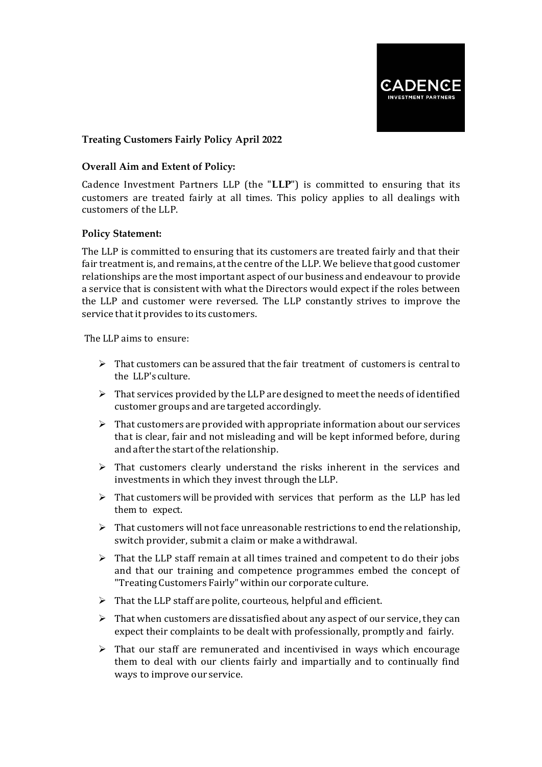

# **Treating Customers Fairly Policy April 2022**

## **Overall Aim and Extent of Policy:**

Cadence Investment Partners LLP (the "**LLP**") is committed to ensuring that its customers are treated fairly at all times. This policy applies to all dealings with customers of the LLP.

## **Policy Statement:**

The LLP is committed to ensuring that its customers are treated fairly and that their fair treatment is, and remains, at the centre of the LLP. We believe that good customer relationships are the most important aspect of our business and endeavour to provide a service that is consistent with what the Directors would expect if the roles between the LLP and customer were reversed. The LLP constantly strives to improve the service that it provides to its customers.

The LLP aims to ensure:

- $\triangleright$  That customers can be assured that the fair treatment of customers is central to the LLP's culture.
- $\triangleright$  That services provided by the LLP are designed to meet the needs of identified customer groups and are targeted accordingly.
- $\triangleright$  That customers are provided with appropriate information about our services that is clear, fair and not misleading and will be kept informed before, during and after the start of the relationship.
- $\triangleright$  That customers clearly understand the risks inherent in the services and investments in which they invest through theLLP.
- $\triangleright$  That customers will be provided with services that perform as the LLP has led them to expect.
- $\triangleright$  That customers will not face unreasonable restrictions to end the relationship, switch provider, submit a claim or make awithdrawal.
- $\triangleright$  That the LLP staff remain at all times trained and competent to do their jobs and that our training and competence programmes embed the concept of "Treating Customers Fairly" within our corporate culture.
- $\triangleright$  That the LLP staff are polite, courteous, helpful and efficient.
- $\triangleright$  That when customers are dissatisfied about any aspect of our service, they can expect their complaints to be dealt with professionally, promptly and fairly.
- $\triangleright$  That our staff are remunerated and incentivised in ways which encourage them to deal with our clients fairly and impartially and to continually find ways to improve our service.